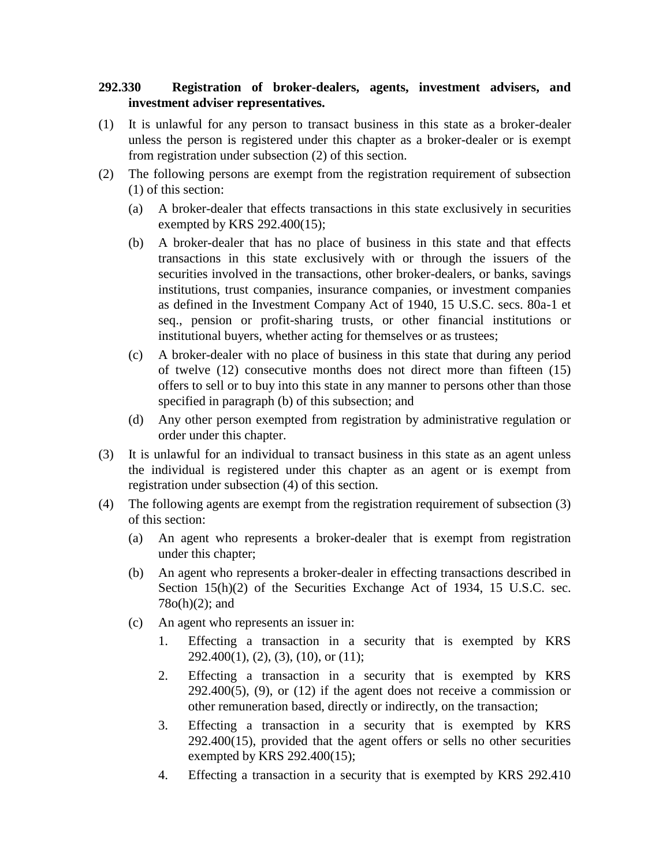## **292.330 Registration of broker-dealers, agents, investment advisers, and investment adviser representatives.**

- (1) It is unlawful for any person to transact business in this state as a broker-dealer unless the person is registered under this chapter as a broker-dealer or is exempt from registration under subsection (2) of this section.
- (2) The following persons are exempt from the registration requirement of subsection (1) of this section:
	- (a) A broker-dealer that effects transactions in this state exclusively in securities exempted by KRS 292.400(15);
	- (b) A broker-dealer that has no place of business in this state and that effects transactions in this state exclusively with or through the issuers of the securities involved in the transactions, other broker-dealers, or banks, savings institutions, trust companies, insurance companies, or investment companies as defined in the Investment Company Act of 1940, 15 U.S.C. secs. 80a-1 et seq., pension or profit-sharing trusts, or other financial institutions or institutional buyers, whether acting for themselves or as trustees;
	- (c) A broker-dealer with no place of business in this state that during any period of twelve (12) consecutive months does not direct more than fifteen (15) offers to sell or to buy into this state in any manner to persons other than those specified in paragraph (b) of this subsection; and
	- (d) Any other person exempted from registration by administrative regulation or order under this chapter.
- (3) It is unlawful for an individual to transact business in this state as an agent unless the individual is registered under this chapter as an agent or is exempt from registration under subsection (4) of this section.
- (4) The following agents are exempt from the registration requirement of subsection (3) of this section:
	- (a) An agent who represents a broker-dealer that is exempt from registration under this chapter;
	- (b) An agent who represents a broker-dealer in effecting transactions described in Section 15(h)(2) of the Securities Exchange Act of 1934, 15 U.S.C. sec. 78o(h)(2); and
	- (c) An agent who represents an issuer in:
		- 1. Effecting a transaction in a security that is exempted by KRS  $292.400(1)$ ,  $(2)$ ,  $(3)$ ,  $(10)$ , or  $(11)$ ;
		- 2. Effecting a transaction in a security that is exempted by KRS  $292.400(5)$ ,  $(9)$ , or  $(12)$  if the agent does not receive a commission or other remuneration based, directly or indirectly, on the transaction;
		- 3. Effecting a transaction in a security that is exempted by KRS 292.400(15), provided that the agent offers or sells no other securities exempted by KRS 292.400(15);
		- 4. Effecting a transaction in a security that is exempted by KRS 292.410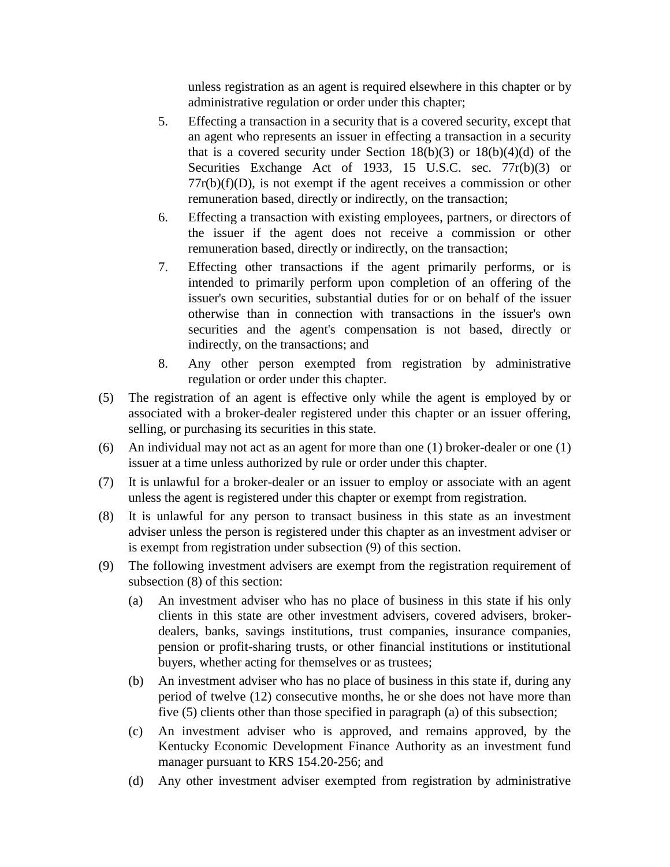unless registration as an agent is required elsewhere in this chapter or by administrative regulation or order under this chapter;

- 5. Effecting a transaction in a security that is a covered security, except that an agent who represents an issuer in effecting a transaction in a security that is a covered security under Section  $18(b)(3)$  or  $18(b)(4)(d)$  of the Securities Exchange Act of 1933, 15 U.S.C. sec. 77r(b)(3) or  $77r(b)(f)(D)$ , is not exempt if the agent receives a commission or other remuneration based, directly or indirectly, on the transaction;
- 6. Effecting a transaction with existing employees, partners, or directors of the issuer if the agent does not receive a commission or other remuneration based, directly or indirectly, on the transaction;
- 7. Effecting other transactions if the agent primarily performs, or is intended to primarily perform upon completion of an offering of the issuer's own securities, substantial duties for or on behalf of the issuer otherwise than in connection with transactions in the issuer's own securities and the agent's compensation is not based, directly or indirectly, on the transactions; and
- 8. Any other person exempted from registration by administrative regulation or order under this chapter.
- (5) The registration of an agent is effective only while the agent is employed by or associated with a broker-dealer registered under this chapter or an issuer offering, selling, or purchasing its securities in this state.
- (6) An individual may not act as an agent for more than one (1) broker-dealer or one (1) issuer at a time unless authorized by rule or order under this chapter.
- (7) It is unlawful for a broker-dealer or an issuer to employ or associate with an agent unless the agent is registered under this chapter or exempt from registration.
- (8) It is unlawful for any person to transact business in this state as an investment adviser unless the person is registered under this chapter as an investment adviser or is exempt from registration under subsection (9) of this section.
- (9) The following investment advisers are exempt from the registration requirement of subsection (8) of this section:
	- (a) An investment adviser who has no place of business in this state if his only clients in this state are other investment advisers, covered advisers, brokerdealers, banks, savings institutions, trust companies, insurance companies, pension or profit-sharing trusts, or other financial institutions or institutional buyers, whether acting for themselves or as trustees;
	- (b) An investment adviser who has no place of business in this state if, during any period of twelve (12) consecutive months, he or she does not have more than five (5) clients other than those specified in paragraph (a) of this subsection;
	- (c) An investment adviser who is approved, and remains approved, by the Kentucky Economic Development Finance Authority as an investment fund manager pursuant to KRS 154.20-256; and
	- (d) Any other investment adviser exempted from registration by administrative